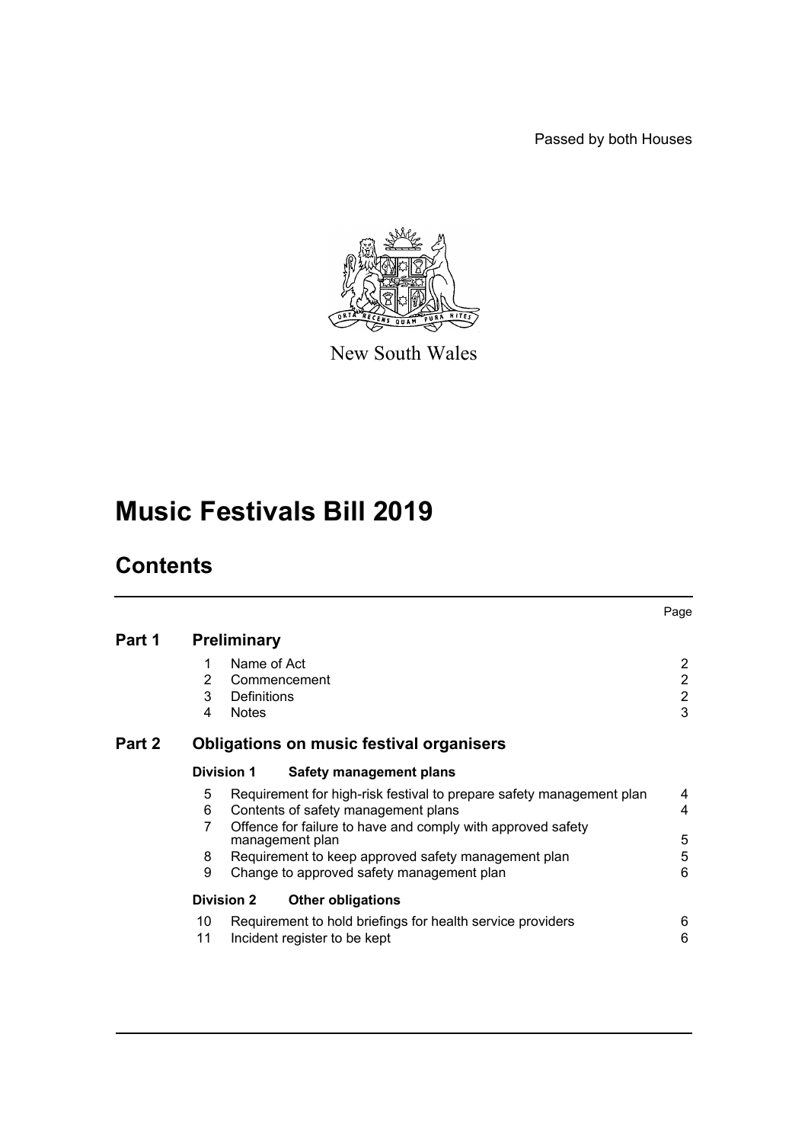Passed by both Houses



New South Wales

# **Music Festivals Bill 2019**

# **Contents**

|        |                                                                                                                       |              |                                                                                            | Page                           |  |  |
|--------|-----------------------------------------------------------------------------------------------------------------------|--------------|--------------------------------------------------------------------------------------------|--------------------------------|--|--|
| Part 1 | <b>Preliminary</b>                                                                                                    |              |                                                                                            |                                |  |  |
|        | 1<br>2                                                                                                                | Name of Act  | Commencement                                                                               | $\mathbf{2}$<br>$\overline{2}$ |  |  |
|        | 3                                                                                                                     | Definitions  |                                                                                            | $\overline{2}$                 |  |  |
|        | 4                                                                                                                     | <b>Notes</b> |                                                                                            | $\mathfrak{S}$                 |  |  |
| Part 2 | Obligations on music festival organisers                                                                              |              |                                                                                            |                                |  |  |
|        | <b>Division 1</b>                                                                                                     |              | Safety management plans                                                                    |                                |  |  |
|        | Requirement for high-risk festival to prepare safety management plan<br>5<br>Contents of safety management plans<br>6 |              |                                                                                            |                                |  |  |
|        | 7                                                                                                                     |              | Offence for failure to have and comply with approved safety<br>management plan             | 5                              |  |  |
|        | 8                                                                                                                     |              | Requirement to keep approved safety management plan                                        | 5                              |  |  |
|        | 9                                                                                                                     |              | Change to approved safety management plan                                                  | 6                              |  |  |
|        | <b>Division 2</b>                                                                                                     |              | <b>Other obligations</b>                                                                   |                                |  |  |
|        | 10<br>11                                                                                                              |              | Requirement to hold briefings for health service providers<br>Incident register to be kept | 6<br>6                         |  |  |
|        |                                                                                                                       |              |                                                                                            |                                |  |  |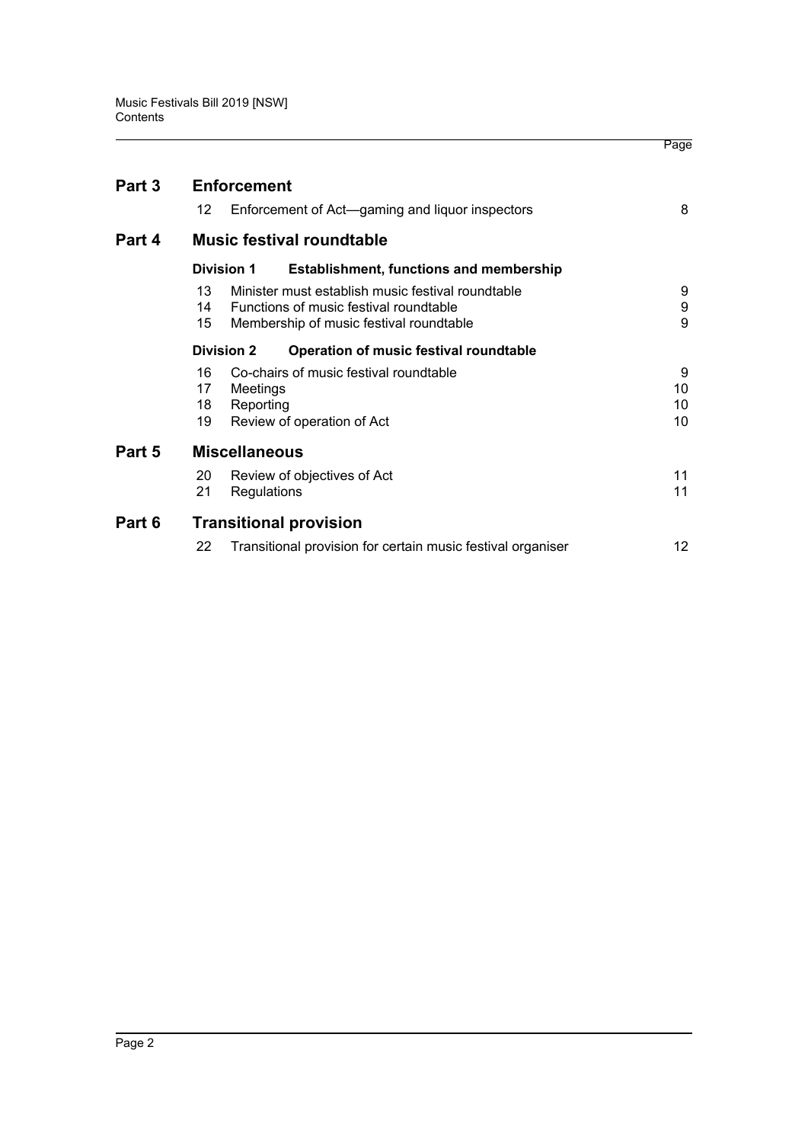| Part 3 | <b>Enforcement</b>                                                  |    |  |  |  |
|--------|---------------------------------------------------------------------|----|--|--|--|
|        | 12<br>Enforcement of Act-gaming and liquor inspectors               | 8  |  |  |  |
| Part 4 | <b>Music festival roundtable</b>                                    |    |  |  |  |
|        | <b>Division 1</b><br><b>Establishment, functions and membership</b> |    |  |  |  |
|        | Minister must establish music festival roundtable<br>13             | 9  |  |  |  |
|        | Functions of music festival roundtable<br>14                        | 9  |  |  |  |
|        | 15<br>Membership of music festival roundtable                       | 9  |  |  |  |
|        | <b>Division 2</b><br>Operation of music festival roundtable         |    |  |  |  |
|        | Co-chairs of music festival roundtable<br>16                        | 9  |  |  |  |
|        | 17<br>Meetings                                                      | 10 |  |  |  |
|        | Reporting<br>18                                                     | 10 |  |  |  |
|        | Review of operation of Act<br>19                                    | 10 |  |  |  |
| Part 5 | <b>Miscellaneous</b>                                                |    |  |  |  |
|        | 20<br>Review of objectives of Act                                   | 11 |  |  |  |
|        | 21<br>Regulations                                                   | 11 |  |  |  |
| Part 6 | <b>Transitional provision</b>                                       |    |  |  |  |
|        | 22<br>Transitional provision for certain music festival organiser   | 12 |  |  |  |
|        |                                                                     |    |  |  |  |

Page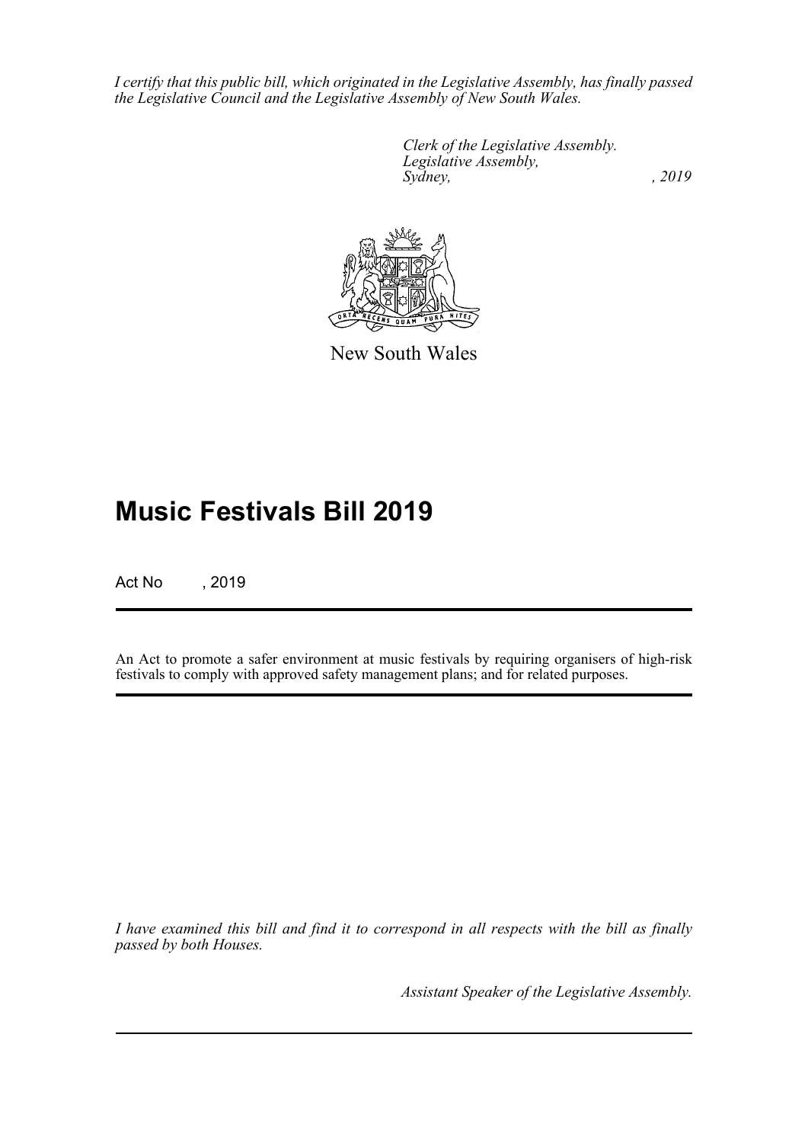*I certify that this public bill, which originated in the Legislative Assembly, has finally passed the Legislative Council and the Legislative Assembly of New South Wales.*

> *Clerk of the Legislative Assembly. Legislative Assembly, Sydney,* , 2019



New South Wales

# **Music Festivals Bill 2019**

Act No , 2019

An Act to promote a safer environment at music festivals by requiring organisers of high-risk festivals to comply with approved safety management plans; and for related purposes.

*I have examined this bill and find it to correspond in all respects with the bill as finally passed by both Houses.*

*Assistant Speaker of the Legislative Assembly.*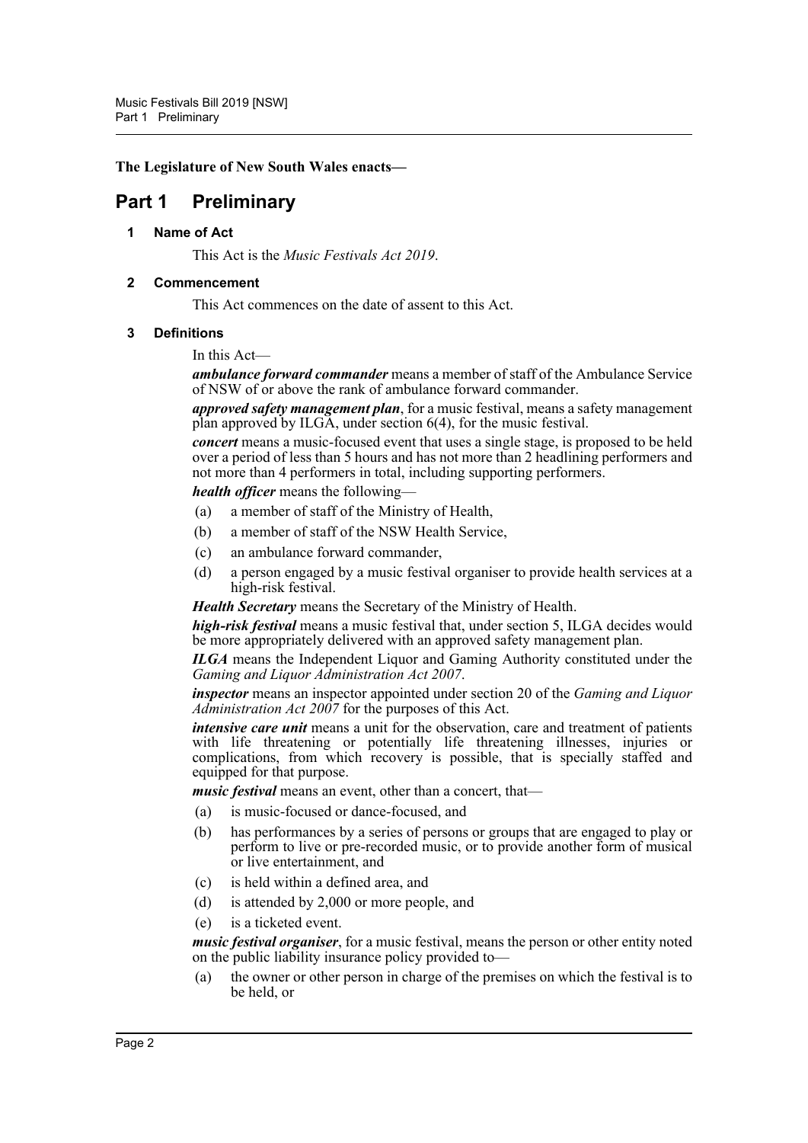**The Legislature of New South Wales enacts—**

# <span id="page-3-1"></span><span id="page-3-0"></span>**Part 1 Preliminary**

#### **1 Name of Act**

This Act is the *Music Festivals Act 2019*.

#### <span id="page-3-2"></span>**2 Commencement**

This Act commences on the date of assent to this Act.

#### <span id="page-3-3"></span>**3 Definitions**

In this Act—

*ambulance forward commander* means a member of staff of the Ambulance Service of NSW of or above the rank of ambulance forward commander.

*approved safety management plan*, for a music festival, means a safety management plan approved by ILGA, under section 6(4), for the music festival.

*concert* means a music-focused event that uses a single stage, is proposed to be held over a period of less than 5 hours and has not more than 2 headlining performers and not more than 4 performers in total, including supporting performers.

*health officer* means the following—

- (a) a member of staff of the Ministry of Health,
- (b) a member of staff of the NSW Health Service,
- (c) an ambulance forward commander,
- (d) a person engaged by a music festival organiser to provide health services at a high-risk festival.

*Health Secretary* means the Secretary of the Ministry of Health.

*high-risk festival* means a music festival that, under section 5, ILGA decides would be more appropriately delivered with an approved safety management plan.

*ILGA* means the Independent Liquor and Gaming Authority constituted under the *Gaming and Liquor Administration Act 2007*.

*inspector* means an inspector appointed under section 20 of the *Gaming and Liquor Administration Act 2007* for the purposes of this Act.

*intensive care unit* means a unit for the observation, care and treatment of patients with life threatening or potentially life threatening illnesses, injuries or complications, from which recovery is possible, that is specially staffed and equipped for that purpose.

*music festival* means an event, other than a concert, that—

- (a) is music-focused or dance-focused, and
- (b) has performances by a series of persons or groups that are engaged to play or perform to live or pre-recorded music, or to provide another form of musical or live entertainment, and
- (c) is held within a defined area, and
- (d) is attended by 2,000 or more people, and
- (e) is a ticketed event.

*music festival organiser*, for a music festival, means the person or other entity noted on the public liability insurance policy provided to—

(a) the owner or other person in charge of the premises on which the festival is to be held, or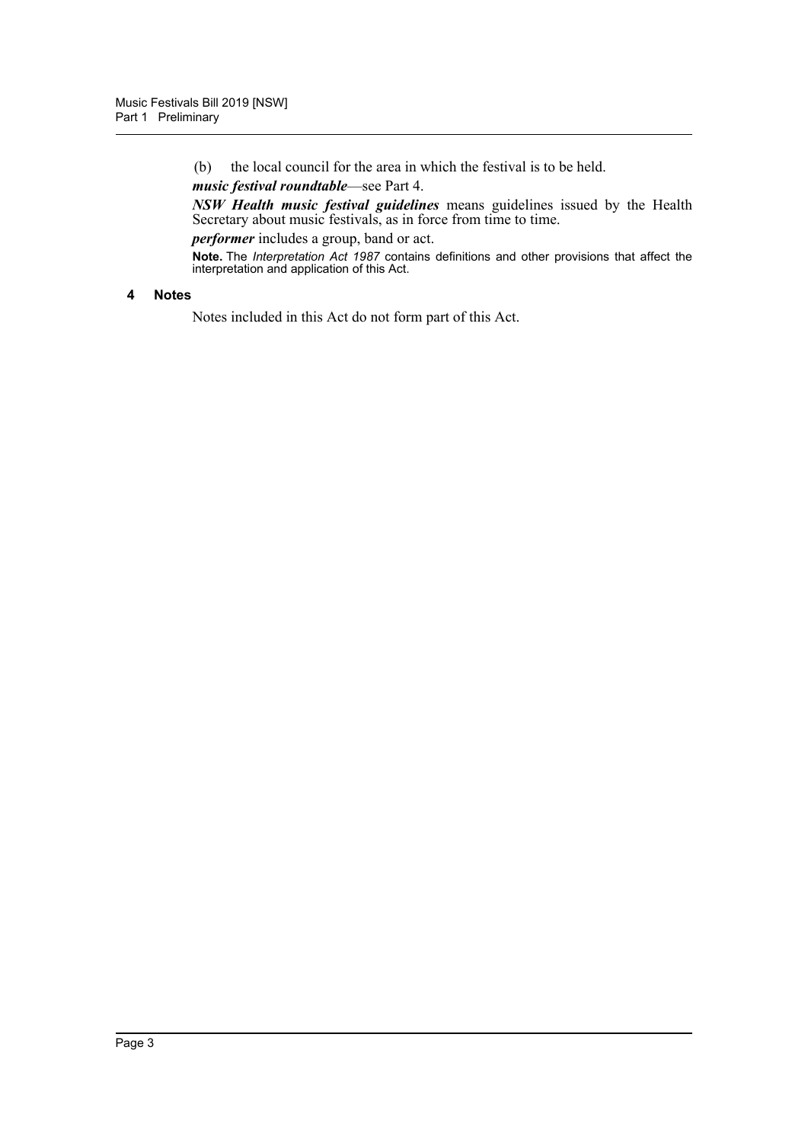(b) the local council for the area in which the festival is to be held.

*music festival roundtable*—see Part 4.

*NSW Health music festival guidelines* means guidelines issued by the Health Secretary about music festivals, as in force from time to time.

*performer* includes a group, band or act.

**Note.** The *Interpretation Act 1987* contains definitions and other provisions that affect the interpretation and application of this Act.

#### <span id="page-4-0"></span>**4 Notes**

Notes included in this Act do not form part of this Act.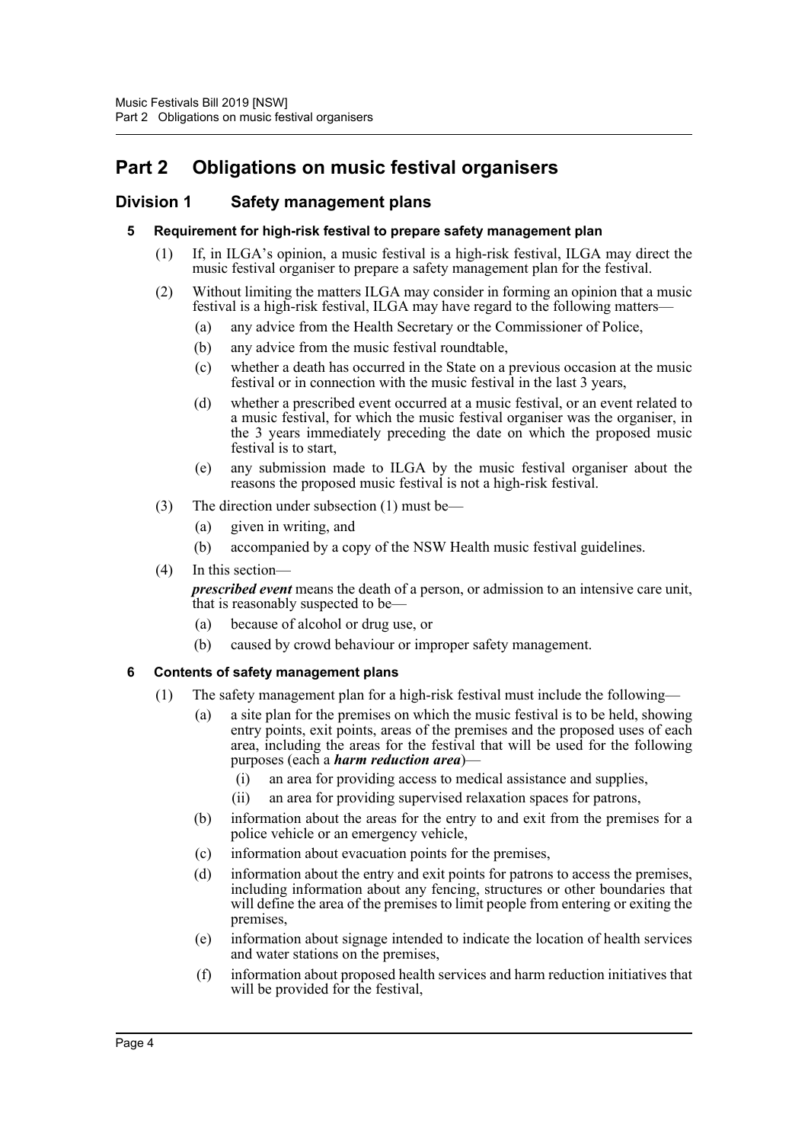# <span id="page-5-0"></span>**Part 2 Obligations on music festival organisers**

## <span id="page-5-2"></span><span id="page-5-1"></span>**Division 1 Safety management plans**

#### **5 Requirement for high-risk festival to prepare safety management plan**

- (1) If, in ILGA's opinion, a music festival is a high-risk festival, ILGA may direct the music festival organiser to prepare a safety management plan for the festival.
- (2) Without limiting the matters ILGA may consider in forming an opinion that a music festival is a high-risk festival, ILGA may have regard to the following matters—
	- (a) any advice from the Health Secretary or the Commissioner of Police,
	- (b) any advice from the music festival roundtable,
	- (c) whether a death has occurred in the State on a previous occasion at the music festival or in connection with the music festival in the last 3 years,
	- (d) whether a prescribed event occurred at a music festival, or an event related to a music festival, for which the music festival organiser was the organiser, in the 3 years immediately preceding the date on which the proposed music festival is to start,
	- (e) any submission made to ILGA by the music festival organiser about the reasons the proposed music festival is not a high-risk festival.
- (3) The direction under subsection (1) must be—
	- (a) given in writing, and
	- (b) accompanied by a copy of the NSW Health music festival guidelines.
- (4) In this section—

*prescribed event* means the death of a person, or admission to an intensive care unit, that is reasonably suspected to be—

- (a) because of alcohol or drug use, or
- (b) caused by crowd behaviour or improper safety management.

### <span id="page-5-3"></span>**6 Contents of safety management plans**

- (1) The safety management plan for a high-risk festival must include the following—
	- (a) a site plan for the premises on which the music festival is to be held, showing entry points, exit points, areas of the premises and the proposed uses of each area, including the areas for the festival that will be used for the following purposes (each a *harm reduction area*)—
		- (i) an area for providing access to medical assistance and supplies,
		- (ii) an area for providing supervised relaxation spaces for patrons,
	- (b) information about the areas for the entry to and exit from the premises for a police vehicle or an emergency vehicle,
	- (c) information about evacuation points for the premises,
	- (d) information about the entry and exit points for patrons to access the premises, including information about any fencing, structures or other boundaries that will define the area of the premises to limit people from entering or exiting the premises,
	- (e) information about signage intended to indicate the location of health services and water stations on the premises,
	- (f) information about proposed health services and harm reduction initiatives that will be provided for the festival,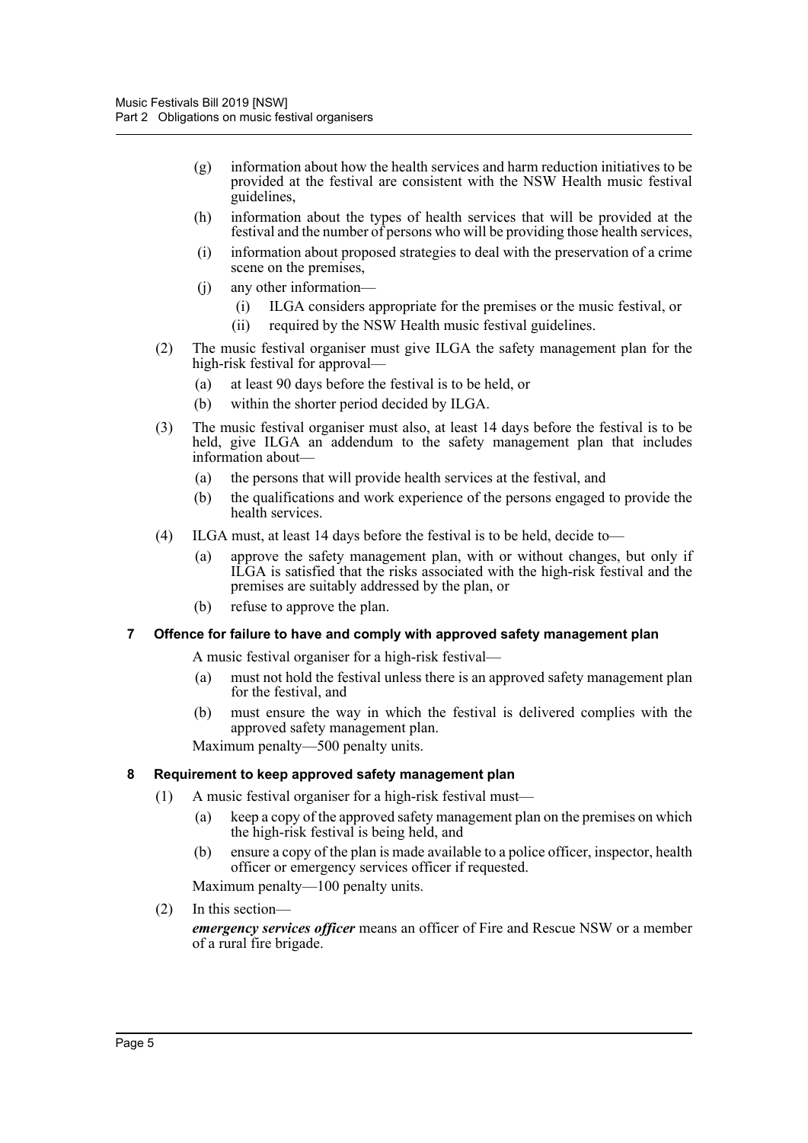- (g) information about how the health services and harm reduction initiatives to be provided at the festival are consistent with the NSW Health music festival guidelines,
- (h) information about the types of health services that will be provided at the festival and the number of persons who will be providing those health services,
- (i) information about proposed strategies to deal with the preservation of a crime scene on the premises.
- (j) any other information—
	- (i) ILGA considers appropriate for the premises or the music festival, or
	- (ii) required by the NSW Health music festival guidelines.
- (2) The music festival organiser must give ILGA the safety management plan for the high-risk festival for approval—
	- (a) at least 90 days before the festival is to be held, or
	- (b) within the shorter period decided by ILGA.
- (3) The music festival organiser must also, at least 14 days before the festival is to be held, give ILGA an addendum to the safety management plan that includes information about—
	- (a) the persons that will provide health services at the festival, and
	- (b) the qualifications and work experience of the persons engaged to provide the health services.
- (4) ILGA must, at least 14 days before the festival is to be held, decide to—
	- (a) approve the safety management plan, with or without changes, but only if ILGA is satisfied that the risks associated with the high-risk festival and the premises are suitably addressed by the plan, or
	- (b) refuse to approve the plan.

#### <span id="page-6-0"></span>**7 Offence for failure to have and comply with approved safety management plan**

A music festival organiser for a high-risk festival—

- (a) must not hold the festival unless there is an approved safety management plan for the festival, and
- (b) must ensure the way in which the festival is delivered complies with the approved safety management plan.

Maximum penalty—500 penalty units.

#### <span id="page-6-1"></span>**8 Requirement to keep approved safety management plan**

- (1) A music festival organiser for a high-risk festival must—
	- (a) keep a copy of the approved safety management plan on the premises on which the high-risk festival is being held, and
	- (b) ensure a copy of the plan is made available to a police officer, inspector, health officer or emergency services officer if requested.

Maximum penalty—100 penalty units.

(2) In this section—

*emergency services officer* means an officer of Fire and Rescue NSW or a member of a rural fire brigade.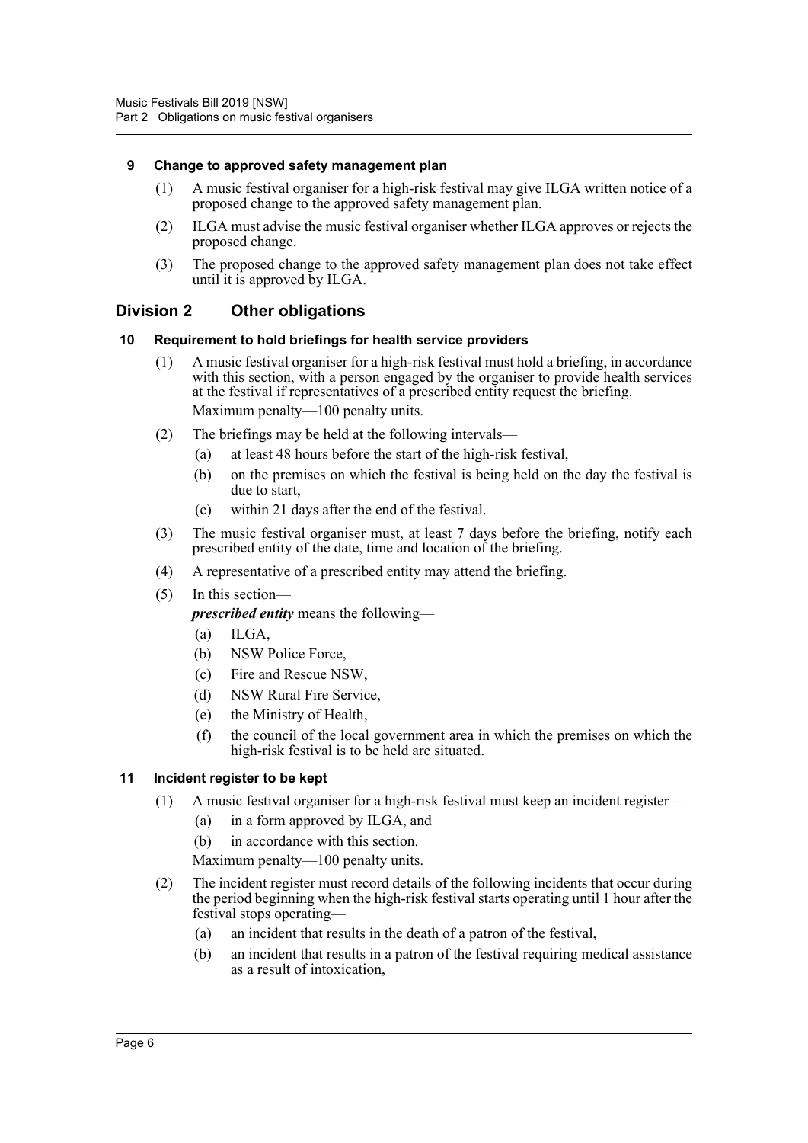#### <span id="page-7-0"></span>**9 Change to approved safety management plan**

- (1) A music festival organiser for a high-risk festival may give ILGA written notice of a proposed change to the approved safety management plan.
- (2) ILGA must advise the music festival organiser whether ILGA approves or rejects the proposed change.
- (3) The proposed change to the approved safety management plan does not take effect until it is approved by ILGA.

### <span id="page-7-1"></span>**Division 2 Other obligations**

#### <span id="page-7-2"></span>**10 Requirement to hold briefings for health service providers**

- (1) A music festival organiser for a high-risk festival must hold a briefing, in accordance with this section, with a person engaged by the organiser to provide health services at the festival if representatives of a prescribed entity request the briefing. Maximum penalty—100 penalty units.
- (2) The briefings may be held at the following intervals—
	- (a) at least 48 hours before the start of the high-risk festival,
	- (b) on the premises on which the festival is being held on the day the festival is due to start,
	- (c) within 21 days after the end of the festival.
- (3) The music festival organiser must, at least 7 days before the briefing, notify each prescribed entity of the date, time and location of the briefing.
- (4) A representative of a prescribed entity may attend the briefing.
- (5) In this section—

*prescribed entity* means the following—

- (a) ILGA,
- (b) NSW Police Force,
- (c) Fire and Rescue NSW,
- (d) NSW Rural Fire Service,
- (e) the Ministry of Health,
- (f) the council of the local government area in which the premises on which the high-risk festival is to be held are situated.

#### <span id="page-7-3"></span>**11 Incident register to be kept**

- (1) A music festival organiser for a high-risk festival must keep an incident register—
	- (a) in a form approved by ILGA, and
	- (b) in accordance with this section.

Maximum penalty—100 penalty units.

- (2) The incident register must record details of the following incidents that occur during the period beginning when the high-risk festival starts operating until 1 hour after the festival stops operating—
	- (a) an incident that results in the death of a patron of the festival,
	- (b) an incident that results in a patron of the festival requiring medical assistance as a result of intoxication,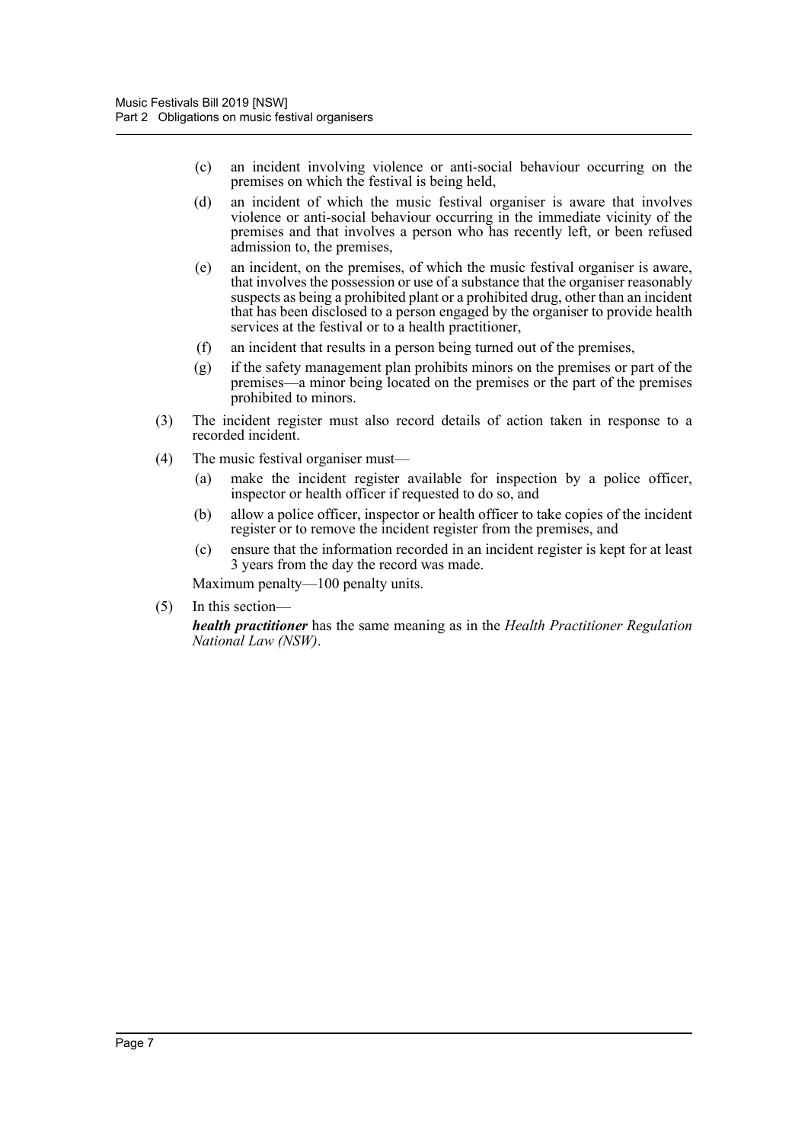- (c) an incident involving violence or anti-social behaviour occurring on the premises on which the festival is being held,
- (d) an incident of which the music festival organiser is aware that involves violence or anti-social behaviour occurring in the immediate vicinity of the premises and that involves a person who has recently left, or been refused admission to, the premises,
- (e) an incident, on the premises, of which the music festival organiser is aware, that involves the possession or use of a substance that the organiser reasonably suspects as being a prohibited plant or a prohibited drug, other than an incident that has been disclosed to a person engaged by the organiser to provide health services at the festival or to a health practitioner,
- (f) an incident that results in a person being turned out of the premises,
- (g) if the safety management plan prohibits minors on the premises or part of the premises—a minor being located on the premises or the part of the premises prohibited to minors.
- (3) The incident register must also record details of action taken in response to a recorded incident.
- (4) The music festival organiser must—
	- (a) make the incident register available for inspection by a police officer, inspector or health officer if requested to do so, and
	- (b) allow a police officer, inspector or health officer to take copies of the incident register or to remove the incident register from the premises, and
	- (c) ensure that the information recorded in an incident register is kept for at least 3 years from the day the record was made.

Maximum penalty—100 penalty units.

(5) In this section—

*health practitioner* has the same meaning as in the *Health Practitioner Regulation National Law (NSW)*.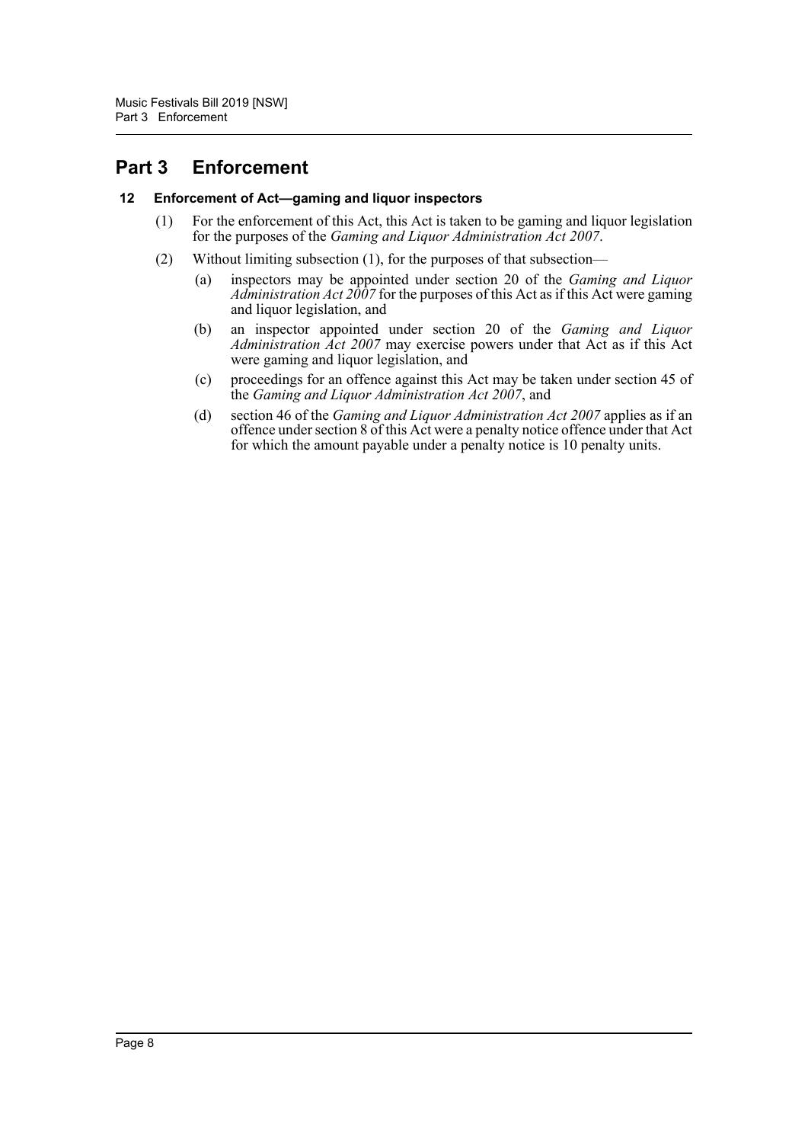# <span id="page-9-0"></span>**Part 3 Enforcement**

#### <span id="page-9-1"></span>**12 Enforcement of Act—gaming and liquor inspectors**

- (1) For the enforcement of this Act, this Act is taken to be gaming and liquor legislation for the purposes of the *Gaming and Liquor Administration Act 2007*.
- (2) Without limiting subsection (1), for the purposes of that subsection—
	- (a) inspectors may be appointed under section 20 of the *Gaming and Liquor Administration Act 2007* for the purposes of this Act as if this Act were gaming and liquor legislation, and
	- (b) an inspector appointed under section 20 of the *Gaming and Liquor Administration Act 2007* may exercise powers under that Act as if this Act were gaming and liquor legislation, and
	- (c) proceedings for an offence against this Act may be taken under section 45 of the *Gaming and Liquor Administration Act 2007*, and
	- (d) section 46 of the *Gaming and Liquor Administration Act 2007* applies as if an offence under section 8 of this Act were a penalty notice offence under that Act for which the amount payable under a penalty notice is 10 penalty units.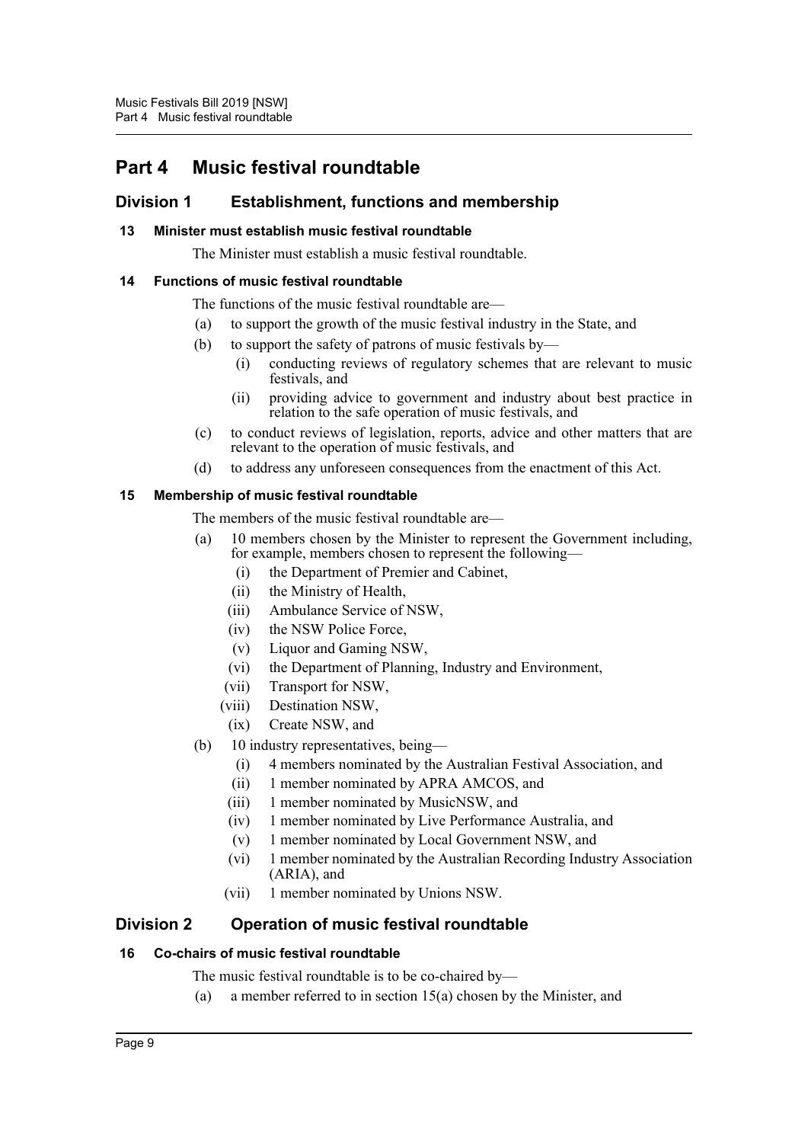# <span id="page-10-0"></span>**Part 4 Music festival roundtable**

## <span id="page-10-1"></span>**Division 1 Establishment, functions and membership**

### <span id="page-10-2"></span>**13 Minister must establish music festival roundtable**

The Minister must establish a music festival roundtable.

#### <span id="page-10-3"></span>**14 Functions of music festival roundtable**

- The functions of the music festival roundtable are—
- (a) to support the growth of the music festival industry in the State, and
- (b) to support the safety of patrons of music festivals by—
	- (i) conducting reviews of regulatory schemes that are relevant to music festivals, and
	- (ii) providing advice to government and industry about best practice in relation to the safe operation of music festivals, and
- (c) to conduct reviews of legislation, reports, advice and other matters that are relevant to the operation of music festivals, and
- (d) to address any unforeseen consequences from the enactment of this Act.

#### <span id="page-10-4"></span>**15 Membership of music festival roundtable**

The members of the music festival roundtable are—

- (a) 10 members chosen by the Minister to represent the Government including, for example, members chosen to represent the following—
	- (i) the Department of Premier and Cabinet,
	- (ii) the Ministry of Health,
	- (iii) Ambulance Service of NSW,
	- (iv) the NSW Police Force,
	- (v) Liquor and Gaming NSW,
	- (vi) the Department of Planning, Industry and Environment,
	- (vii) Transport for NSW,
	- (viii) Destination NSW,
	- (ix) Create NSW, and
- (b) 10 industry representatives, being—
	- (i) 4 members nominated by the Australian Festival Association, and
	- (ii) 1 member nominated by APRA AMCOS, and
	- (iii) 1 member nominated by MusicNSW, and
	- (iv) 1 member nominated by Live Performance Australia, and
	- (v) 1 member nominated by Local Government NSW, and
	- (vi) 1 member nominated by the Australian Recording Industry Association (ARIA), and
	- (vii) 1 member nominated by Unions NSW.

### <span id="page-10-5"></span>**Division 2 Operation of music festival roundtable**

#### <span id="page-10-6"></span>**16 Co-chairs of music festival roundtable**

The music festival roundtable is to be co-chaired by—

(a) a member referred to in section 15(a) chosen by the Minister, and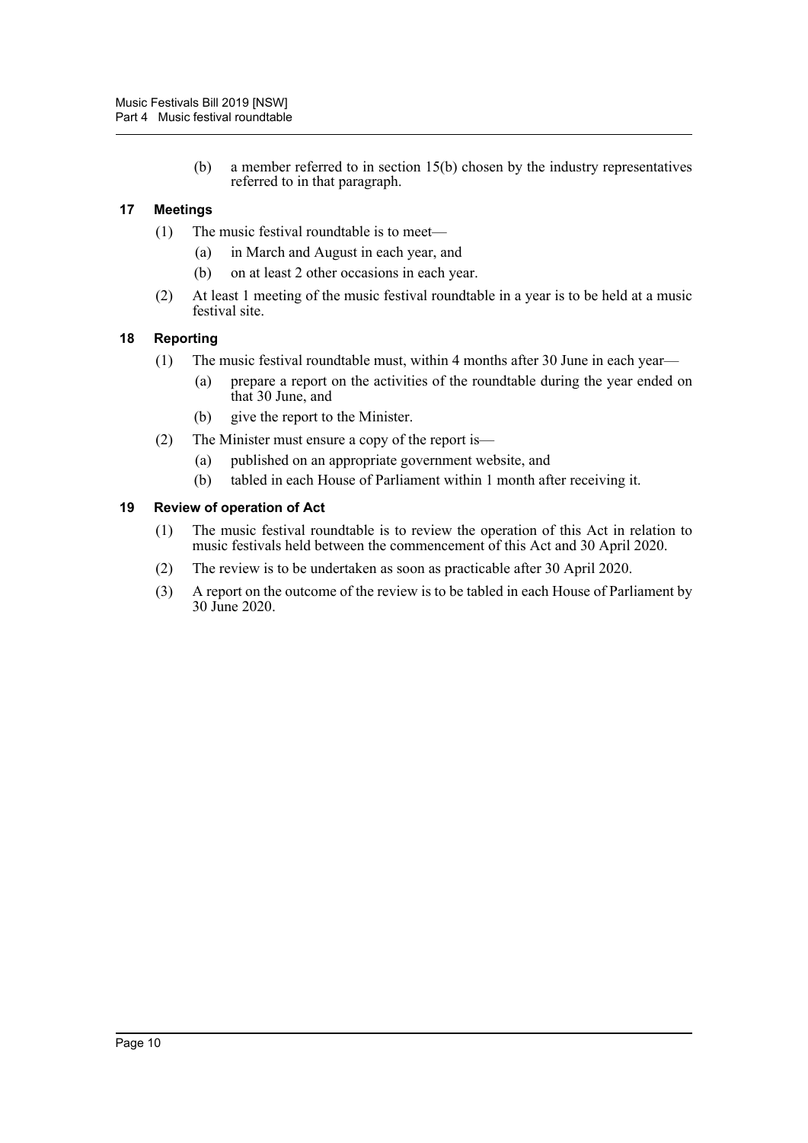(b) a member referred to in section 15(b) chosen by the industry representatives referred to in that paragraph.

### <span id="page-11-0"></span>**17 Meetings**

- (1) The music festival roundtable is to meet—
	- (a) in March and August in each year, and
	- (b) on at least 2 other occasions in each year.
- (2) At least 1 meeting of the music festival roundtable in a year is to be held at a music festival site.

#### <span id="page-11-1"></span>**18 Reporting**

- (1) The music festival roundtable must, within 4 months after 30 June in each year—
	- (a) prepare a report on the activities of the roundtable during the year ended on that 30 June, and
	- (b) give the report to the Minister.
- (2) The Minister must ensure a copy of the report is—
	- (a) published on an appropriate government website, and
	- (b) tabled in each House of Parliament within 1 month after receiving it.

#### <span id="page-11-2"></span>**19 Review of operation of Act**

- (1) The music festival roundtable is to review the operation of this Act in relation to music festivals held between the commencement of this Act and 30 April 2020.
- (2) The review is to be undertaken as soon as practicable after 30 April 2020.
- (3) A report on the outcome of the review is to be tabled in each House of Parliament by 30 June 2020.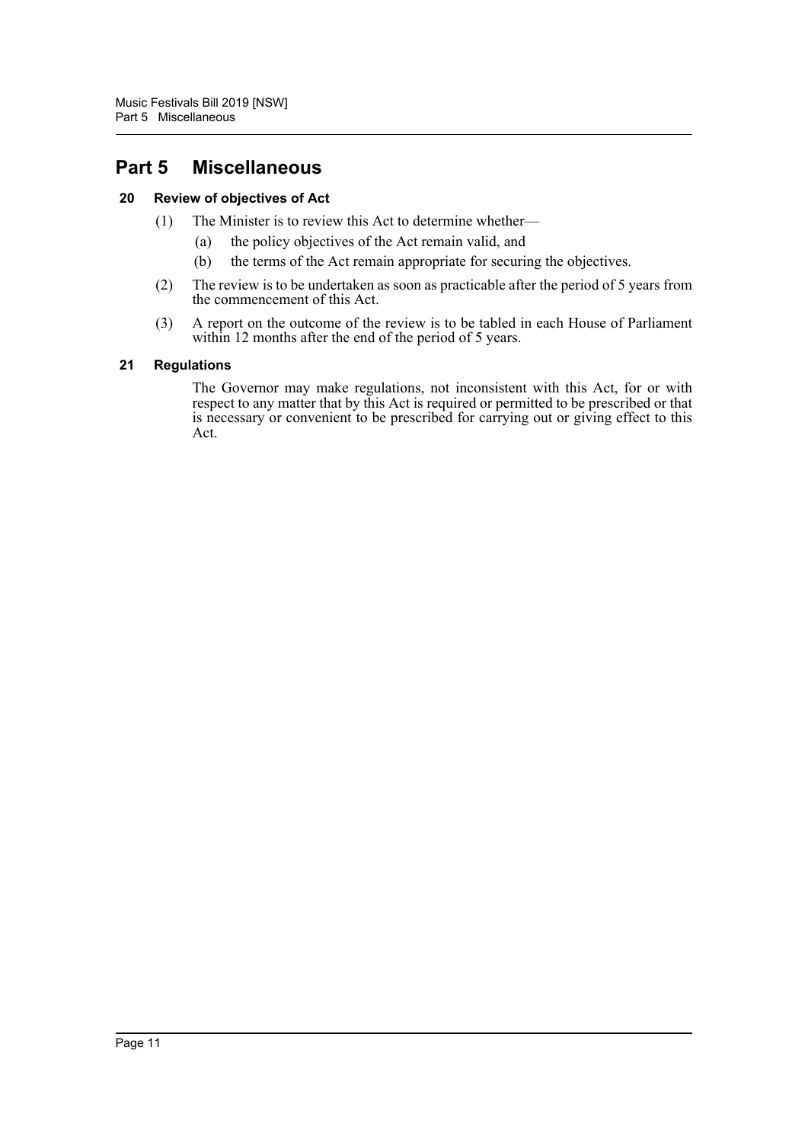# <span id="page-12-0"></span>**Part 5 Miscellaneous**

### <span id="page-12-1"></span>**20 Review of objectives of Act**

- (1) The Minister is to review this Act to determine whether—
	- (a) the policy objectives of the Act remain valid, and
	- (b) the terms of the Act remain appropriate for securing the objectives.
- (2) The review is to be undertaken as soon as practicable after the period of 5 years from the commencement of this Act.
- (3) A report on the outcome of the review is to be tabled in each House of Parliament within 12 months after the end of the period of 5 years.

#### <span id="page-12-2"></span>**21 Regulations**

The Governor may make regulations, not inconsistent with this Act, for or with respect to any matter that by this Act is required or permitted to be prescribed or that is necessary or convenient to be prescribed for carrying out or giving effect to this Act.